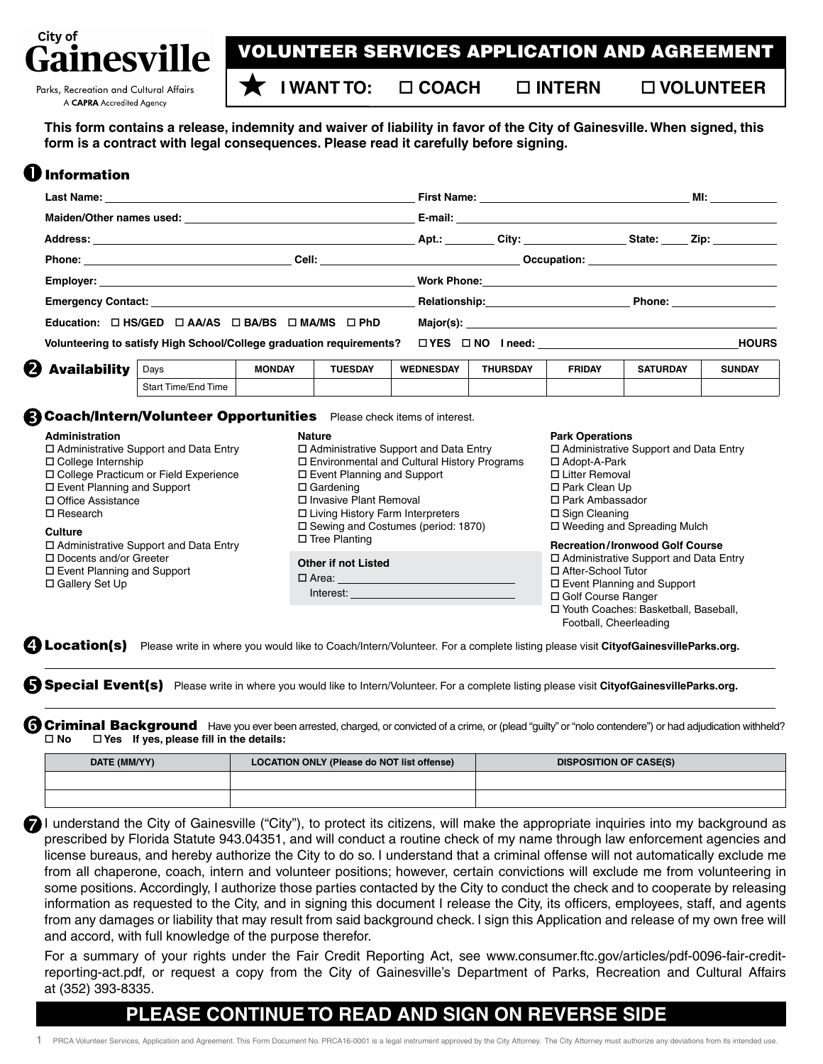

Parks, Recreation and Cultural Affairs A CAPRA Accredited Agency

# VOLUNTEER SERVICES APPLICATION AND AGREEMENT

**I WANT TO: COACH INTERN VOLUNTEER**

**This form contains a release, indemnity and waiver of liability in favor of the City of Gainesville. When signed, this form is a contract with legal consequences. Please read it carefully before signing.**

## **ID** Information

|   |                                                                                                                                                                                                                                                                                                              |                                                                                                                |               |                |                                                                                                                                                                                                                               | First Name: The Communication of the Communication of the Communication of the Communication of the Communication of the Communication of the Communication of the Communication of the Communication of the Communication of |                                                                                                                                                                                                                                     |                                                                                 | M!            |
|---|--------------------------------------------------------------------------------------------------------------------------------------------------------------------------------------------------------------------------------------------------------------------------------------------------------------|----------------------------------------------------------------------------------------------------------------|---------------|----------------|-------------------------------------------------------------------------------------------------------------------------------------------------------------------------------------------------------------------------------|-------------------------------------------------------------------------------------------------------------------------------------------------------------------------------------------------------------------------------|-------------------------------------------------------------------------------------------------------------------------------------------------------------------------------------------------------------------------------------|---------------------------------------------------------------------------------|---------------|
|   |                                                                                                                                                                                                                                                                                                              |                                                                                                                |               |                |                                                                                                                                                                                                                               |                                                                                                                                                                                                                               |                                                                                                                                                                                                                                     |                                                                                 |               |
|   |                                                                                                                                                                                                                                                                                                              |                                                                                                                |               |                |                                                                                                                                                                                                                               |                                                                                                                                                                                                                               |                                                                                                                                                                                                                                     | _Apt.: __________ City: ______________________ State: ______ Zip: _____________ |               |
|   | Phone: Cell: Cell: Cell: Cell: Cell: Cell: Cell: Cocupation: Cell: Cocupation: Cell: Cocupation: Cell: Cocupation: Cell: Cocupation: Cell: Cocupation: Cell: Cocupation: Cell: Cocupation: Cell: Cocupation: Cell: Cocupation:                                                                               |                                                                                                                |               |                |                                                                                                                                                                                                                               |                                                                                                                                                                                                                               |                                                                                                                                                                                                                                     |                                                                                 |               |
|   | Emergency Contact: Law and Contact and Contact and Contact and Contact and Contact and Contact and Contact and Contact and Contact and Contact and Contact and Contact and Contact and Contact and Contact and Contact and Con<br>Education: $\Box$ HS/GED $\Box$ AA/AS $\Box$ BA/BS $\Box$ MA/MS $\Box$ PhD |                                                                                                                |               |                |                                                                                                                                                                                                                               |                                                                                                                                                                                                                               |                                                                                                                                                                                                                                     |                                                                                 |               |
|   |                                                                                                                                                                                                                                                                                                              |                                                                                                                |               |                | Relationship: Network and the set of the set of the set of the set of the set of the set of the set of the set                                                                                                                |                                                                                                                                                                                                                               | <b>Phone:</b> the contract of the contract of the contract of the contract of the contract of the contract of the contract of the contract of the contract of the contract of the contract of the contract of the contract of the c |                                                                                 |               |
|   |                                                                                                                                                                                                                                                                                                              |                                                                                                                |               |                | Major(s): the contract of the contract of the contract of the contract of the contract of the contract of the contract of the contract of the contract of the contract of the contract of the contract of the contract of the |                                                                                                                                                                                                                               |                                                                                                                                                                                                                                     |                                                                                 |               |
|   | Volunteering to satisfy High School/College graduation requirements? $\square$ YES $\square$ NO I need:                                                                                                                                                                                                      |                                                                                                                |               |                |                                                                                                                                                                                                                               | <b>HOURS</b>                                                                                                                                                                                                                  |                                                                                                                                                                                                                                     |                                                                                 |               |
| 2 | <b>Availability</b>                                                                                                                                                                                                                                                                                          | Days and the part of the state of the state of the state of the state of the state of the state of the state o | <b>MONDAY</b> | <b>TUESDAY</b> | <b>WEDNESDAY</b>                                                                                                                                                                                                              | <b>THURSDAY</b>                                                                                                                                                                                                               | <b>FRIDAY</b>                                                                                                                                                                                                                       | <b>SATURDAY</b>                                                                 | <b>SUNDAY</b> |
|   |                                                                                                                                                                                                                                                                                                              | <b>Start Time/End Time</b>                                                                                     |               |                |                                                                                                                                                                                                                               |                                                                                                                                                                                                                               |                                                                                                                                                                                                                                     |                                                                                 |               |

### **Coach/Intern/Volunteer Opportunities** Please check items of interest.

| Administration<br>$\Box$ Administrative Support and Data Entry<br>$\Box$ College Internship<br>□ College Practicum or Field Experience<br>$\Box$ Event Planning and Support<br>□ Office Assistance<br>$\Box$ Research<br>Culture<br>$\Box$ Administrative Support and Data Entry<br>□ Docents and/or Greeter | <b>Nature</b><br>$\Box$ Administrative Support and Data Entry<br>□ Environmental and Cultural History Programs<br>$\Box$ Event Planning and Support<br>$\Box$ Gardening<br>□ Invasive Plant Removal<br>$\Box$ Living History Farm Interpreters<br>$\Box$ Sewing and Costumes (period: 1870)<br>$\Box$ Tree Planting | <b>Park Operations</b><br>□ Administrative Support and Data Entry<br>□ Adopt-A-Park<br>□ Litter Removal<br>$\Box$ Park Clean Up<br>□ Park Ambassador<br>$\Box$ Sign Cleaning<br>$\Box$ Weeding and Spreading Mulch                              |  |
|--------------------------------------------------------------------------------------------------------------------------------------------------------------------------------------------------------------------------------------------------------------------------------------------------------------|---------------------------------------------------------------------------------------------------------------------------------------------------------------------------------------------------------------------------------------------------------------------------------------------------------------------|-------------------------------------------------------------------------------------------------------------------------------------------------------------------------------------------------------------------------------------------------|--|
| $\Box$ Event Planning and Support<br>□ Gallery Set Up                                                                                                                                                                                                                                                        | <b>Other if not Listed</b><br>$\Box$ Area:<br>Interest: <u>with the set of the set of the set of the set of the set of the set of the set of the set of the set of the set of the set of the set of the set of the set of the set of the set of the set of the set of the set </u>                                  | <b>Recreation/Ironwood Golf Course</b><br>$\Box$ Administrative Support and Data Entry<br>□ After-School Tutor<br>$\Box$ Event Planning and Support<br>□ Golf Course Ranger<br>□ Youth Coaches: Basketball, Baseball,<br>Football, Cheerleading |  |

Location(s) Please write in where you would like to Coach/Intern/Volunteer. For a complete listing please visit **CityofGainesvilleParks.org.**

Special Event(s) Please write in where you would like to Intern/Volunteer. For a complete listing please visit CityofGainesvilleParks.org.

G Criminal Background Have you ever been arrested, charged, or convicted of a crime, or (plead "guilty" or "nolo contendere") or had adjudication withheld?  **No Yes If yes, please fill in the details:**

| DATE (MM/YY) | <b>LOCATION ONLY (Please do NOT list offense)</b> | <b>DISPOSITION OF CASE(S)</b> |  |  |
|--------------|---------------------------------------------------|-------------------------------|--|--|
|              |                                                   |                               |  |  |
|              |                                                   |                               |  |  |

I understand the City of Gainesville ("City"), to protect its citizens, will make the appropriate inquiries into my background as prescribed by Florida Statute 943.04351, and will conduct a routine check of my name through law enforcement agencies and license bureaus, and hereby authorize the City to do so. I understand that a criminal offense will not automatically exclude me from all chaperone, coach, intern and volunteer positions; however, certain convictions will exclude me from volunteering in some positions. Accordingly, I authorize those parties contacted by the City to conduct the check and to cooperate by releasing information as requested to the City, and in signing this document I release the City, its officers, employees, staff, and agents from any damages or liability that may result from said background check. I sign this Application and release of my own free will and accord, with full knowledge of the purpose therefor.

For a summary of your rights under the Fair Credit Reporting Act, see www.consumer.ftc.gov/articles/pdf-0096-fair-creditreporting-act.pdf, or request a copy from the City of Gainesville's Department of Parks, Recreation and Cultural Affairs at (352) 393-8335.

## **PLEASE CONTINUE TO READ AND SIGN ON REVERSE SIDE**

1 PRCA Volunteer Services, Application and Agreement. This Form Document No. PRCA16-0001 is a legal instrument approved by the City Attorney. The City Attorney must authorize any deviations from its intended use.